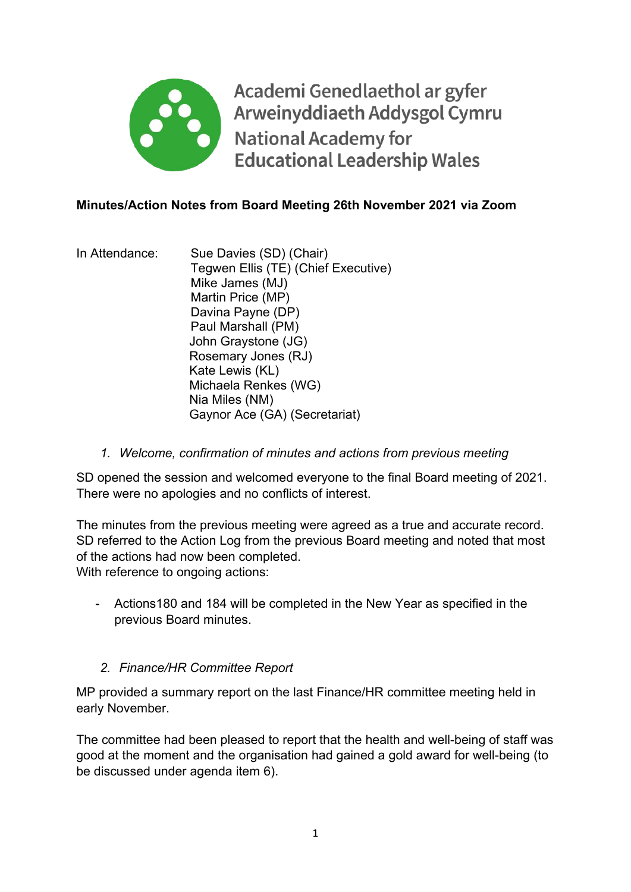

Academi Genedlaethol ar gyfer Arweinyddiaeth Addysgol Cymru **National Academy for Educational Leadership Wales** 

### **Minutes/Action Notes from Board Meeting 26th November 2021 via Zoom**

In Attendance: Sue Davies (SD) (Chair) Tegwen Ellis (TE) (Chief Executive) Mike James (MJ) Martin Price (MP) Davina Payne (DP) Paul Marshall (PM) John Graystone (JG) Rosemary Jones (RJ) Kate Lewis (KL) Michaela Renkes (WG) Nia Miles (NM) Gaynor Ace (GA) (Secretariat)

*1. Welcome, confirmation of minutes and actions from previous meeting* 

SD opened the session and welcomed everyone to the final Board meeting of 2021. There were no apologies and no conflicts of interest.

The minutes from the previous meeting were agreed as a true and accurate record. SD referred to the Action Log from the previous Board meeting and noted that most of the actions had now been completed.

With reference to ongoing actions:

- Actions180 and 184 will be completed in the New Year as specified in the previous Board minutes.

#### *2. Finance/HR Committee Report*

MP provided a summary report on the last Finance/HR committee meeting held in early November.

The committee had been pleased to report that the health and well-being of staff was good at the moment and the organisation had gained a gold award for well-being (to be discussed under agenda item 6).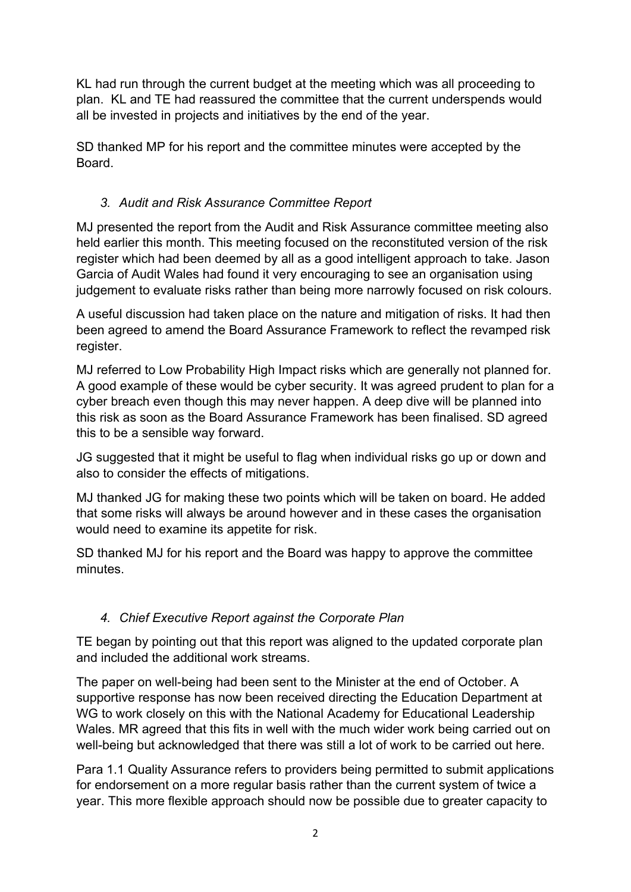KL had run through the current budget at the meeting which was all proceeding to plan. KL and TE had reassured the committee that the current underspends would all be invested in projects and initiatives by the end of the year.

SD thanked MP for his report and the committee minutes were accepted by the **Board** 

# *3. Audit and Risk Assurance Committee Report*

MJ presented the report from the Audit and Risk Assurance committee meeting also held earlier this month. This meeting focused on the reconstituted version of the risk register which had been deemed by all as a good intelligent approach to take. Jason Garcia of Audit Wales had found it very encouraging to see an organisation using judgement to evaluate risks rather than being more narrowly focused on risk colours.

A useful discussion had taken place on the nature and mitigation of risks. It had then been agreed to amend the Board Assurance Framework to reflect the revamped risk register.

MJ referred to Low Probability High Impact risks which are generally not planned for. A good example of these would be cyber security. It was agreed prudent to plan for a cyber breach even though this may never happen. A deep dive will be planned into this risk as soon as the Board Assurance Framework has been finalised. SD agreed this to be a sensible way forward.

JG suggested that it might be useful to flag when individual risks go up or down and also to consider the effects of mitigations.

MJ thanked JG for making these two points which will be taken on board. He added that some risks will always be around however and in these cases the organisation would need to examine its appetite for risk.

SD thanked MJ for his report and the Board was happy to approve the committee minutes.

# *4. Chief Executive Report against the Corporate Plan*

TE began by pointing out that this report was aligned to the updated corporate plan and included the additional work streams.

The paper on well-being had been sent to the Minister at the end of October. A supportive response has now been received directing the Education Department at WG to work closely on this with the National Academy for Educational Leadership Wales. MR agreed that this fits in well with the much wider work being carried out on well-being but acknowledged that there was still a lot of work to be carried out here.

Para 1.1 Quality Assurance refers to providers being permitted to submit applications for endorsement on a more regular basis rather than the current system of twice a year. This more flexible approach should now be possible due to greater capacity to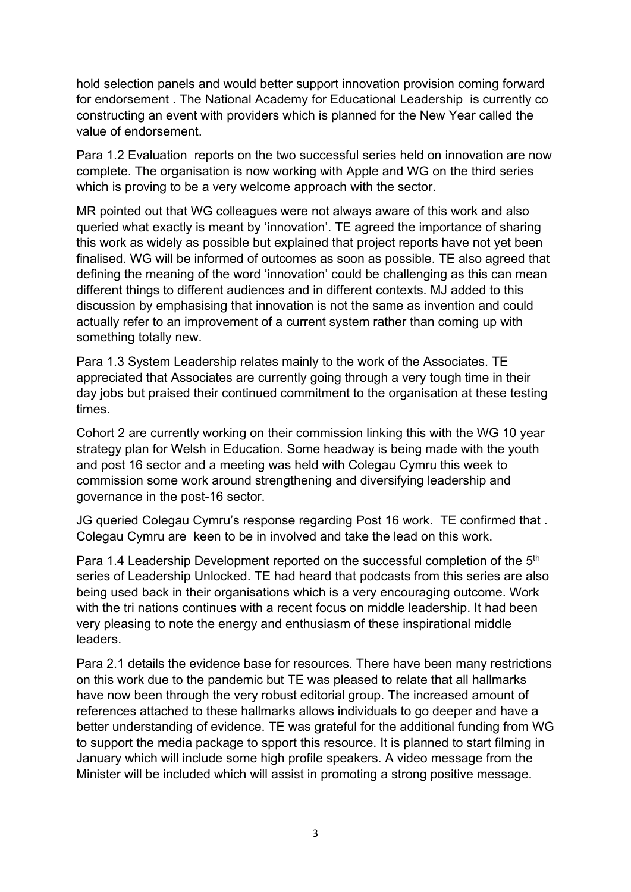hold selection panels and would better support innovation provision coming forward for endorsement . The National Academy for Educational Leadership is currently co constructing an event with providers which is planned for the New Year called the value of endorsement.

Para 1.2 Evaluation reports on the two successful series held on innovation are now complete. The organisation is now working with Apple and WG on the third series which is proving to be a very welcome approach with the sector.

MR pointed out that WG colleagues were not always aware of this work and also queried what exactly is meant by 'innovation'. TE agreed the importance of sharing this work as widely as possible but explained that project reports have not yet been finalised. WG will be informed of outcomes as soon as possible. TE also agreed that defining the meaning of the word 'innovation' could be challenging as this can mean different things to different audiences and in different contexts. MJ added to this discussion by emphasising that innovation is not the same as invention and could actually refer to an improvement of a current system rather than coming up with something totally new.

Para 1.3 System Leadership relates mainly to the work of the Associates. TE appreciated that Associates are currently going through a very tough time in their day jobs but praised their continued commitment to the organisation at these testing times.

Cohort 2 are currently working on their commission linking this with the WG 10 year strategy plan for Welsh in Education. Some headway is being made with the youth and post 16 sector and a meeting was held with Colegau Cymru this week to commission some work around strengthening and diversifying leadership and governance in the post-16 sector.

JG queried Colegau Cymru's response regarding Post 16 work. TE confirmed that . Colegau Cymru are keen to be in involved and take the lead on this work.

Para 1.4 Leadership Development reported on the successful completion of the 5<sup>th</sup> series of Leadership Unlocked. TE had heard that podcasts from this series are also being used back in their organisations which is a very encouraging outcome. Work with the tri nations continues with a recent focus on middle leadership. It had been very pleasing to note the energy and enthusiasm of these inspirational middle leaders.

Para 2.1 details the evidence base for resources. There have been many restrictions on this work due to the pandemic but TE was pleased to relate that all hallmarks have now been through the very robust editorial group. The increased amount of references attached to these hallmarks allows individuals to go deeper and have a better understanding of evidence. TE was grateful for the additional funding from WG to support the media package to spport this resource. It is planned to start filming in January which will include some high profile speakers. A video message from the Minister will be included which will assist in promoting a strong positive message.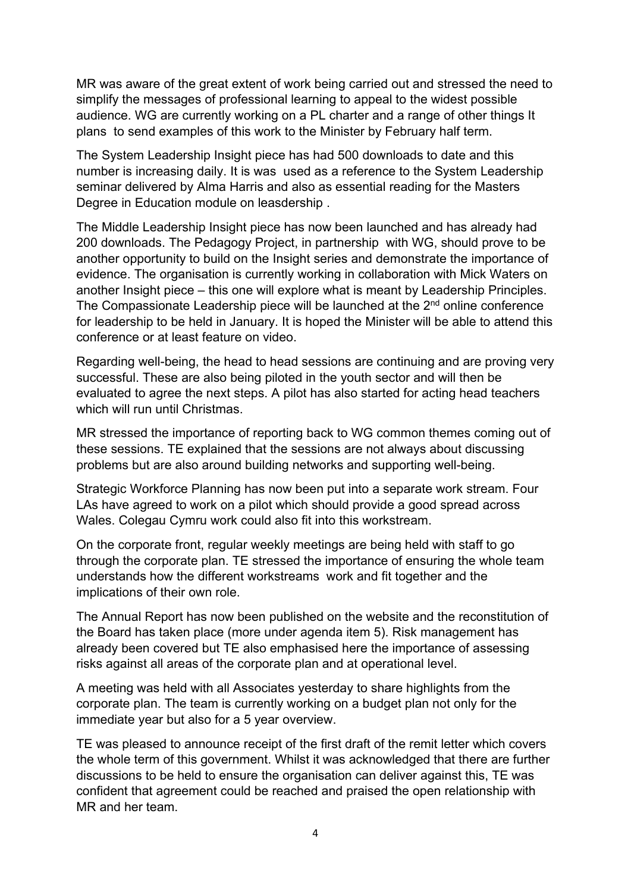MR was aware of the great extent of work being carried out and stressed the need to simplify the messages of professional learning to appeal to the widest possible audience. WG are currently working on a PL charter and a range of other things It plans to send examples of this work to the Minister by February half term.

The System Leadership Insight piece has had 500 downloads to date and this number is increasing daily. It is was used as a reference to the System Leadership seminar delivered by Alma Harris and also as essential reading for the Masters Degree in Education module on leasdership .

The Middle Leadership Insight piece has now been launched and has already had 200 downloads. The Pedagogy Project, in partnership with WG, should prove to be another opportunity to build on the Insight series and demonstrate the importance of evidence. The organisation is currently working in collaboration with Mick Waters on another Insight piece – this one will explore what is meant by Leadership Principles. The Compassionate Leadership piece will be launched at the 2<sup>nd</sup> online conference for leadership to be held in January. It is hoped the Minister will be able to attend this conference or at least feature on video.

Regarding well-being, the head to head sessions are continuing and are proving very successful. These are also being piloted in the youth sector and will then be evaluated to agree the next steps. A pilot has also started for acting head teachers which will run until Christmas.

MR stressed the importance of reporting back to WG common themes coming out of these sessions. TE explained that the sessions are not always about discussing problems but are also around building networks and supporting well-being.

Strategic Workforce Planning has now been put into a separate work stream. Four LAs have agreed to work on a pilot which should provide a good spread across Wales. Colegau Cymru work could also fit into this workstream.

On the corporate front, regular weekly meetings are being held with staff to go through the corporate plan. TE stressed the importance of ensuring the whole team understands how the different workstreams work and fit together and the implications of their own role.

The Annual Report has now been published on the website and the reconstitution of the Board has taken place (more under agenda item 5). Risk management has already been covered but TE also emphasised here the importance of assessing risks against all areas of the corporate plan and at operational level.

A meeting was held with all Associates yesterday to share highlights from the corporate plan. The team is currently working on a budget plan not only for the immediate year but also for a 5 year overview.

TE was pleased to announce receipt of the first draft of the remit letter which covers the whole term of this government. Whilst it was acknowledged that there are further discussions to be held to ensure the organisation can deliver against this, TE was confident that agreement could be reached and praised the open relationship with MR and her team.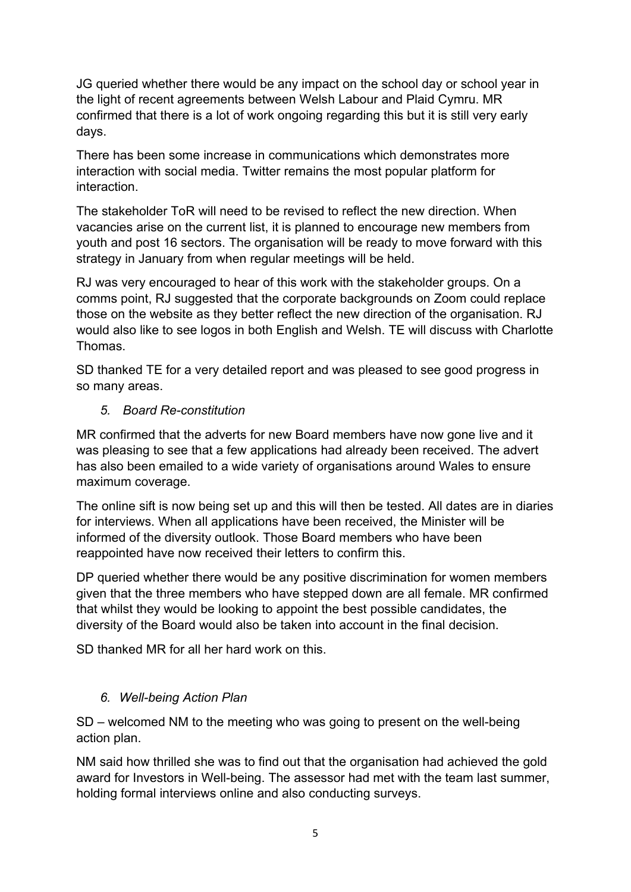JG queried whether there would be any impact on the school day or school year in the light of recent agreements between Welsh Labour and Plaid Cymru. MR confirmed that there is a lot of work ongoing regarding this but it is still very early days.

There has been some increase in communications which demonstrates more interaction with social media. Twitter remains the most popular platform for interaction.

The stakeholder ToR will need to be revised to reflect the new direction. When vacancies arise on the current list, it is planned to encourage new members from youth and post 16 sectors. The organisation will be ready to move forward with this strategy in January from when regular meetings will be held.

RJ was very encouraged to hear of this work with the stakeholder groups. On a comms point, RJ suggested that the corporate backgrounds on Zoom could replace those on the website as they better reflect the new direction of the organisation. RJ would also like to see logos in both English and Welsh. TE will discuss with Charlotte Thomas.

SD thanked TE for a very detailed report and was pleased to see good progress in so many areas.

### *5. Board Re-constitution*

MR confirmed that the adverts for new Board members have now gone live and it was pleasing to see that a few applications had already been received. The advert has also been emailed to a wide variety of organisations around Wales to ensure maximum coverage.

The online sift is now being set up and this will then be tested. All dates are in diaries for interviews. When all applications have been received, the Minister will be informed of the diversity outlook. Those Board members who have been reappointed have now received their letters to confirm this.

DP queried whether there would be any positive discrimination for women members given that the three members who have stepped down are all female. MR confirmed that whilst they would be looking to appoint the best possible candidates, the diversity of the Board would also be taken into account in the final decision.

SD thanked MR for all her hard work on this.

## *6. Well-being Action Plan*

SD – welcomed NM to the meeting who was going to present on the well-being action plan.

NM said how thrilled she was to find out that the organisation had achieved the gold award for Investors in Well-being. The assessor had met with the team last summer, holding formal interviews online and also conducting surveys.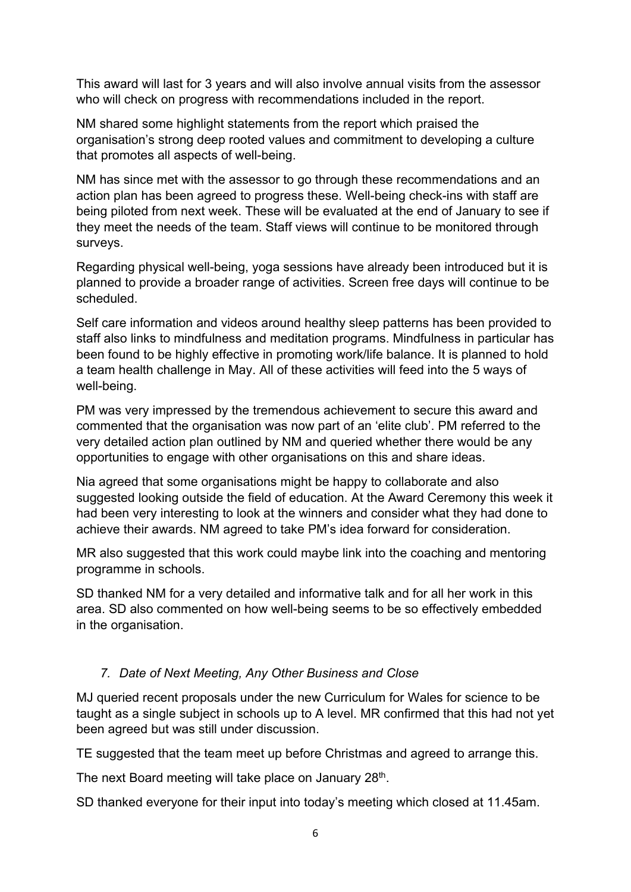This award will last for 3 years and will also involve annual visits from the assessor who will check on progress with recommendations included in the report.

NM shared some highlight statements from the report which praised the organisation's strong deep rooted values and commitment to developing a culture that promotes all aspects of well-being.

NM has since met with the assessor to go through these recommendations and an action plan has been agreed to progress these. Well-being check-ins with staff are being piloted from next week. These will be evaluated at the end of January to see if they meet the needs of the team. Staff views will continue to be monitored through surveys.

Regarding physical well-being, yoga sessions have already been introduced but it is planned to provide a broader range of activities. Screen free days will continue to be scheduled.

Self care information and videos around healthy sleep patterns has been provided to staff also links to mindfulness and meditation programs. Mindfulness in particular has been found to be highly effective in promoting work/life balance. It is planned to hold a team health challenge in May. All of these activities will feed into the 5 ways of well-being.

PM was very impressed by the tremendous achievement to secure this award and commented that the organisation was now part of an 'elite club'. PM referred to the very detailed action plan outlined by NM and queried whether there would be any opportunities to engage with other organisations on this and share ideas.

Nia agreed that some organisations might be happy to collaborate and also suggested looking outside the field of education. At the Award Ceremony this week it had been very interesting to look at the winners and consider what they had done to achieve their awards. NM agreed to take PM's idea forward for consideration.

MR also suggested that this work could maybe link into the coaching and mentoring programme in schools.

SD thanked NM for a very detailed and informative talk and for all her work in this area. SD also commented on how well-being seems to be so effectively embedded in the organisation.

#### *7. Date of Next Meeting, Any Other Business and Close*

MJ queried recent proposals under the new Curriculum for Wales for science to be taught as a single subject in schools up to A level. MR confirmed that this had not yet been agreed but was still under discussion.

TE suggested that the team meet up before Christmas and agreed to arrange this.

The next Board meeting will take place on January 28<sup>th</sup>.

SD thanked everyone for their input into today's meeting which closed at 11.45am.